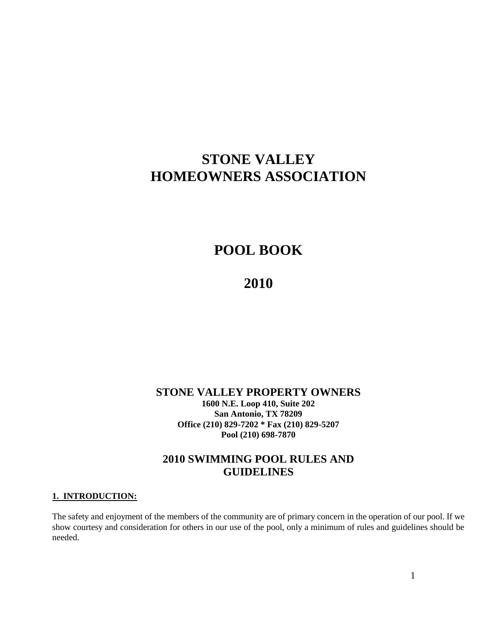# **STONE VALLEY HOMEOWNERS ASSOCIATION**

# **POOL BOOK**

# **2010**

#### **STONE VALLEY PROPERTY OWNERS 1600 N.E. Loop 410, Suite 202 San Antonio, TX 78209 Office (210) 829-7202 \* Fax (210) 829-5207 Pool (210) 698-7870**

## **2010 SWIMMING POOL RULES AND GUIDELINES**

#### **1. INTRODUCTION:**

The safety and enjoyment of the members of the community are of primary concern in the operation of our pool. If we show courtesy and consideration for others in our use of the pool, only a minimum of rules and guidelines should be needed.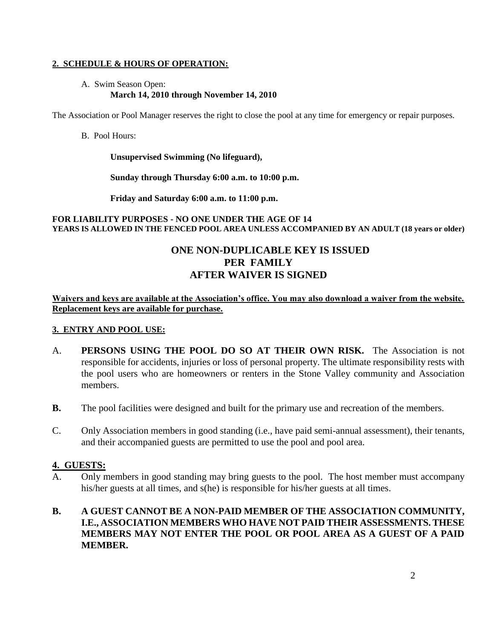#### **2. SCHEDULE & HOURS OF OPERATION:**

#### A. Swim Season Open: **March 14, 2010 through November 14, 2010**

The Association or Pool Manager reserves the right to close the pool at any time for emergency or repair purposes.

#### B. Pool Hours:

**Unsupervised Swimming (No lifeguard),** 

**Sunday through Thursday 6:00 a.m. to 10:00 p.m.** 

**Friday and Saturday 6:00 a.m. to 11:00 p.m.**

#### **FOR LIABILITY PURPOSES - NO ONE UNDER THE AGE OF 14 YEARS IS ALLOWED IN THE FENCED POOL AREA UNLESS ACCOMPANIED BY AN ADULT (18 years or older)**

## **ONE NON-DUPLICABLE KEY IS ISSUED PER FAMILY AFTER WAIVER IS SIGNED**

**Waivers and keys are available at the Association's office. You may also download a waiver from the website. Replacement keys are available for purchase.**

#### **3. ENTRY AND POOL USE:**

- A. **PERSONS USING THE POOL DO SO AT THEIR OWN RISK.** The Association is not responsible for accidents, injuries or loss of personal property. The ultimate responsibility rests with the pool users who are homeowners or renters in the Stone Valley community and Association members.
- **B.** The pool facilities were designed and built for the primary use and recreation of the members.
- C. Only Association members in good standing (i.e., have paid semi-annual assessment), their tenants, and their accompanied guests are permitted to use the pool and pool area.

#### **4. GUESTS:**

A. Only members in good standing may bring guests to the pool. The host member must accompany his/her guests at all times, and s(he) is responsible for his/her guests at all times.

### **B. A GUEST CANNOT BE A NON-PAID MEMBER OF THE ASSOCIATION COMMUNITY, I.E., ASSOCIATION MEMBERS WHO HAVE NOT PAID THEIR ASSESSMENTS. THESE MEMBERS MAY NOT ENTER THE POOL OR POOL AREA AS A GUEST OF A PAID MEMBER.**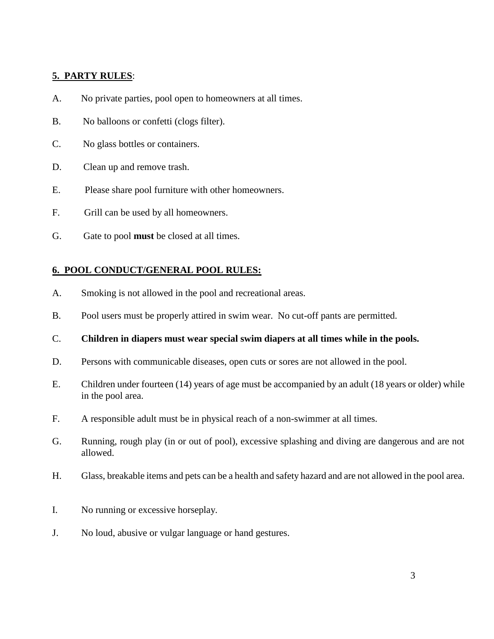## **5. PARTY RULES**:

- A. No private parties, pool open to homeowners at all times.
- B. No balloons or confetti (clogs filter).
- C. No glass bottles or containers.
- D. Clean up and remove trash.
- E. Please share pool furniture with other homeowners.
- F. Grill can be used by all homeowners.
- G. Gate to pool **must** be closed at all times.

### **6. POOL CONDUCT/GENERAL POOL RULES:**

- A. Smoking is not allowed in the pool and recreational areas.
- B. Pool users must be properly attired in swim wear. No cut-off pants are permitted.
- C. **Children in diapers must wear special swim diapers at all times while in the pools.**
- D. Persons with communicable diseases, open cuts or sores are not allowed in the pool.
- E. Children under fourteen (14) years of age must be accompanied by an adult (18 years or older) while in the pool area.
- F. A responsible adult must be in physical reach of a non-swimmer at all times.
- G. Running, rough play (in or out of pool), excessive splashing and diving are dangerous and are not allowed.
- H. Glass, breakable items and pets can be a health and safety hazard and are not allowed in the pool area.
- I. No running or excessive horseplay.
- J. No loud, abusive or vulgar language or hand gestures.